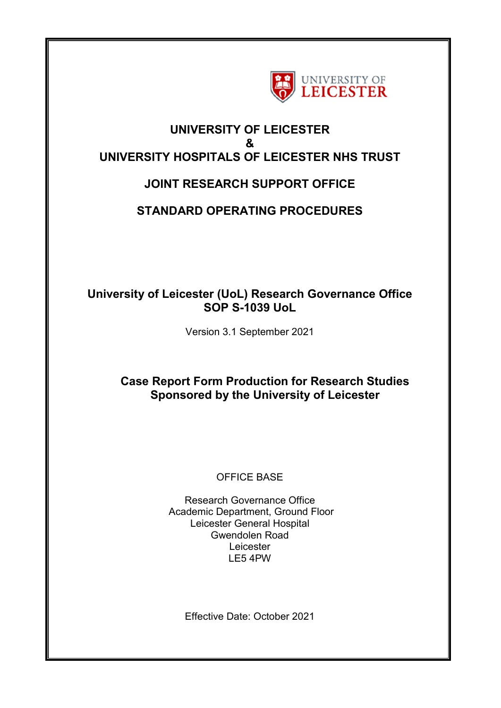

## **UNIVERSITY OF LEICESTER & UNIVERSITY HOSPITALS OF LEICESTER NHS TRUST**

# **JOINT RESEARCH SUPPORT OFFICE**

## **STANDARD OPERATING PROCEDURES**

## **University of Leicester (UoL) Research Governance Office SOP S-1039 UoL**

Version 3.1 September 2021

## **Case Report Form Production for Research Studies Sponsored by the University of Leicester**

### OFFICE BASE

Research Governance Office Academic Department, Ground Floor Leicester General Hospital Gwendolen Road **Leicester** LE5 4PW

Effective Date: October 2021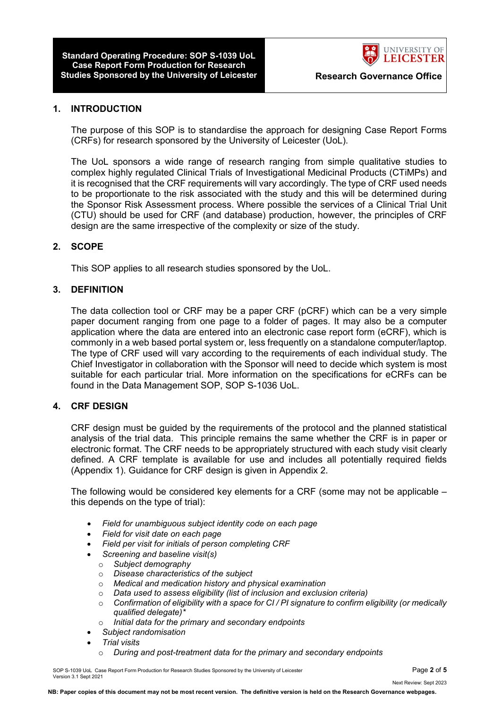**Standard Operating Procedure: SOP S-1039 UoL Case Report Form Production for Research Studies Sponsored by the University of Leicester The Research Governance Office** 



#### **1. INTRODUCTION**

The purpose of this SOP is to standardise the approach for designing Case Report Forms (CRFs) for research sponsored by the University of Leicester (UoL).

The UoL sponsors a wide range of research ranging from simple qualitative studies to complex highly regulated Clinical Trials of Investigational Medicinal Products (CTiMPs) and it is recognised that the CRF requirements will vary accordingly. The type of CRF used needs to be proportionate to the risk associated with the study and this will be determined during the Sponsor Risk Assessment process. Where possible the services of a Clinical Trial Unit (CTU) should be used for CRF (and database) production, however, the principles of CRF design are the same irrespective of the complexity or size of the study.

#### **2. SCOPE**

This SOP applies to all research studies sponsored by the UoL.

#### **3. DEFINITION**

The data collection tool or CRF may be a paper CRF (pCRF) which can be a very simple paper document ranging from one page to a folder of pages. It may also be a computer application where the data are entered into an electronic case report form (eCRF), which is commonly in a web based portal system or, less frequently on a standalone computer/laptop. The type of CRF used will vary according to the requirements of each individual study. The Chief Investigator in collaboration with the Sponsor will need to decide which system is most suitable for each particular trial. More information on the specifications for eCRFs can be found in the Data Management SOP, SOP S-1036 UoL.

#### **4. CRF DESIGN**

CRF design must be guided by the requirements of the protocol and the planned statistical analysis of the trial data. This principle remains the same whether the CRF is in paper or electronic format. The CRF needs to be appropriately structured with each study visit clearly defined. A CRF template is available for use and includes all potentially required fields (Appendix 1). Guidance for CRF design is given in Appendix 2.

The following would be considered key elements for a CRF (some may not be applicable – this depends on the type of trial):

- *Field for unambiguous subject identity code on each page*
- *Field for visit date on each page*
- *Field per visit for initials of person completing CRF*
- *Screening and baseline visit(s)* 
	- o *Subject demography*
	- o *Disease characteristics of the subject*
	- o *Medical and medication history and physical examination*
	- o *Data used to assess eligibility (list of inclusion and exclusion criteria)*
	- o *Confirmation of eligibility with a space for CI / PI signature to confirm eligibility (or medically qualified delegate)\**
	- o *Initial data for the primary and secondary endpoints*
- *Subject randomisation*
- *Trial visits* 
	- o *During and post-treatment data for the primary and secondary endpoints*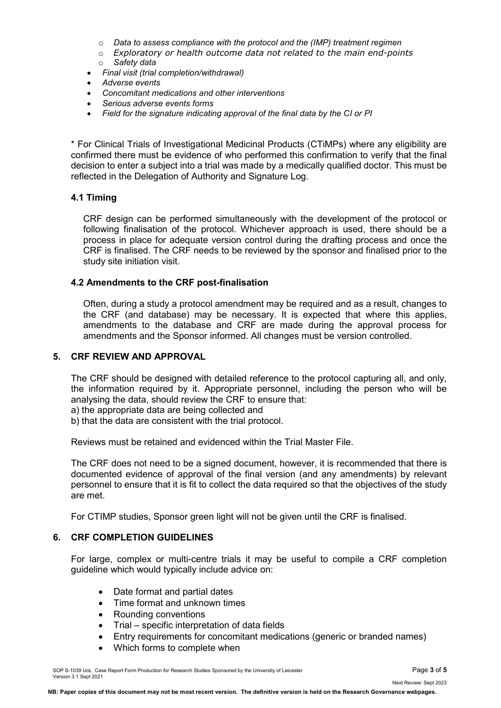- o *Data to assess compliance with the protocol and the (IMP) treatment regimen*
- o *Exploratory or health outcome data not related to the main end-points*  o *Safety data*
- *Final visit (trial completion/withdrawal)*
- *Adverse events*
- *Concomitant medications and other interventions*
- *Serious adverse events forms*
- *Field for the signature indicating approval of the final data by the CI or PI*

\* For Clinical Trials of Investigational Medicinal Products (CTiMPs) where any eligibility are confirmed there must be evidence of who performed this confirmation to verify that the final decision to enter a subject into a trial was made by a medically qualified doctor. This must be reflected in the Delegation of Authority and Signature Log.

#### **4.1 Timing**

CRF design can be performed simultaneously with the development of the protocol or following finalisation of the protocol. Whichever approach is used, there should be a process in place for adequate version control during the drafting process and once the CRF is finalised. The CRF needs to be reviewed by the sponsor and finalised prior to the study site initiation visit.

#### **4.2 Amendments to the CRF post-finalisation**

Often, during a study a protocol amendment may be required and as a result, changes to the CRF (and database) may be necessary. It is expected that where this applies, amendments to the database and CRF are made during the approval process for amendments and the Sponsor informed. All changes must be version controlled.

#### **5. CRF REVIEW AND APPROVAL**

The CRF should be designed with detailed reference to the protocol capturing all, and only, the information required by it. Appropriate personnel, including the person who will be analysing the data, should review the CRF to ensure that:

a) the appropriate data are being collected and

b) that the data are consistent with the trial protocol.

Reviews must be retained and evidenced within the Trial Master File.

The CRF does not need to be a signed document, however, it is recommended that there is documented evidence of approval of the final version (and any amendments) by relevant personnel to ensure that it is fit to collect the data required so that the objectives of the study are met.

For CTIMP studies, Sponsor green light will not be given until the CRF is finalised.

#### **6. CRF COMPLETION GUIDELINES**

For large, complex or multi-centre trials it may be useful to compile a CRF completion guideline which would typically include advice on:

- Date format and partial dates
- Time format and unknown times
- Rounding conventions
- Trial specific interpretation of data fields
- Entry requirements for concomitant medications (generic or branded names)
- Which forms to complete when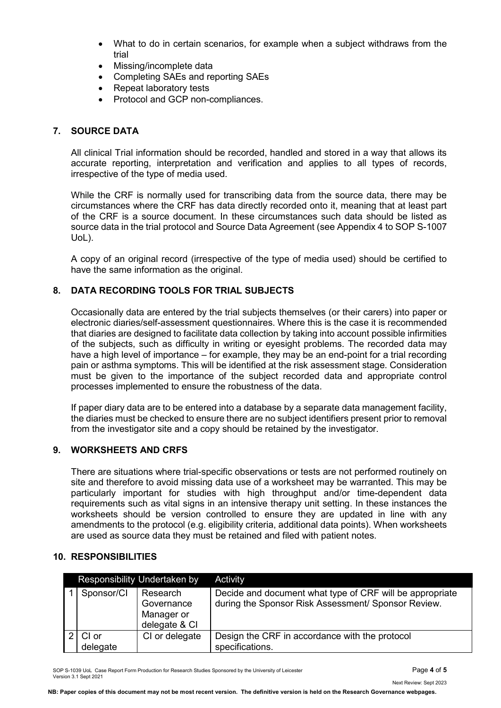- What to do in certain scenarios, for example when a subject withdraws from the trial
- Missing/incomplete data
- Completing SAEs and reporting SAEs
- Repeat laboratory tests
- Protocol and GCP non-compliances.

### **7. SOURCE DATA**

All clinical Trial information should be recorded, handled and stored in a way that allows its accurate reporting, interpretation and verification and applies to all types of records, irrespective of the type of media used.

While the CRF is normally used for transcribing data from the source data, there may be circumstances where the CRF has data directly recorded onto it, meaning that at least part of the CRF is a source document. In these circumstances such data should be listed as source data in the trial protocol and Source Data Agreement (see Appendix 4 to SOP S-1007 UoL).

A copy of an original record (irrespective of the type of media used) should be certified to have the same information as the original.

#### **8. DATA RECORDING TOOLS FOR TRIAL SUBJECTS**

Occasionally data are entered by the trial subjects themselves (or their carers) into paper or electronic diaries/self-assessment questionnaires. Where this is the case it is recommended that diaries are designed to facilitate data collection by taking into account possible infirmities of the subjects, such as difficulty in writing or eyesight problems. The recorded data may have a high level of importance – for example, they may be an end-point for a trial recording pain or asthma symptoms. This will be identified at the risk assessment stage. Consideration must be given to the importance of the subject recorded data and appropriate control processes implemented to ensure the robustness of the data.

If paper diary data are to be entered into a database by a separate data management facility, the diaries must be checked to ensure there are no subject identifiers present prior to removal from the investigator site and a copy should be retained by the investigator.

#### **9. WORKSHEETS AND CRFS**

There are situations where trial-specific observations or tests are not performed routinely on site and therefore to avoid missing data use of a worksheet may be warranted. This may be particularly important for studies with high throughput and/or time-dependent data requirements such as vital signs in an intensive therapy unit setting. In these instances the worksheets should be version controlled to ensure they are updated in line with any amendments to the protocol (e.g. eligibility criteria, additional data points). When worksheets are used as source data they must be retained and filed with patient notes.

#### **10. RESPONSIBILITIES**

| <b>Responsibility Undertaken by</b> |                   |                                                       | Activity                                                                                                        |
|-------------------------------------|-------------------|-------------------------------------------------------|-----------------------------------------------------------------------------------------------------------------|
|                                     | Sponsor/CI        | Research<br>Governance<br>Manager or<br>delegate & CI | Decide and document what type of CRF will be appropriate<br>during the Sponsor Risk Assessment/ Sponsor Review. |
|                                     | CI or<br>delegate | CI or delegate                                        | Design the CRF in accordance with the protocol<br>specifications.                                               |

SOP S-1039 UoL Case Report Form Production for Research Studies Sponsored by the University of Leicester Page **4** of **5** Version 3.1 Sept 2021

Next Review: Sept 2023

**NB: Paper copies of this document may not be most recent version. The definitive version is held on the Research Governance webpages.**